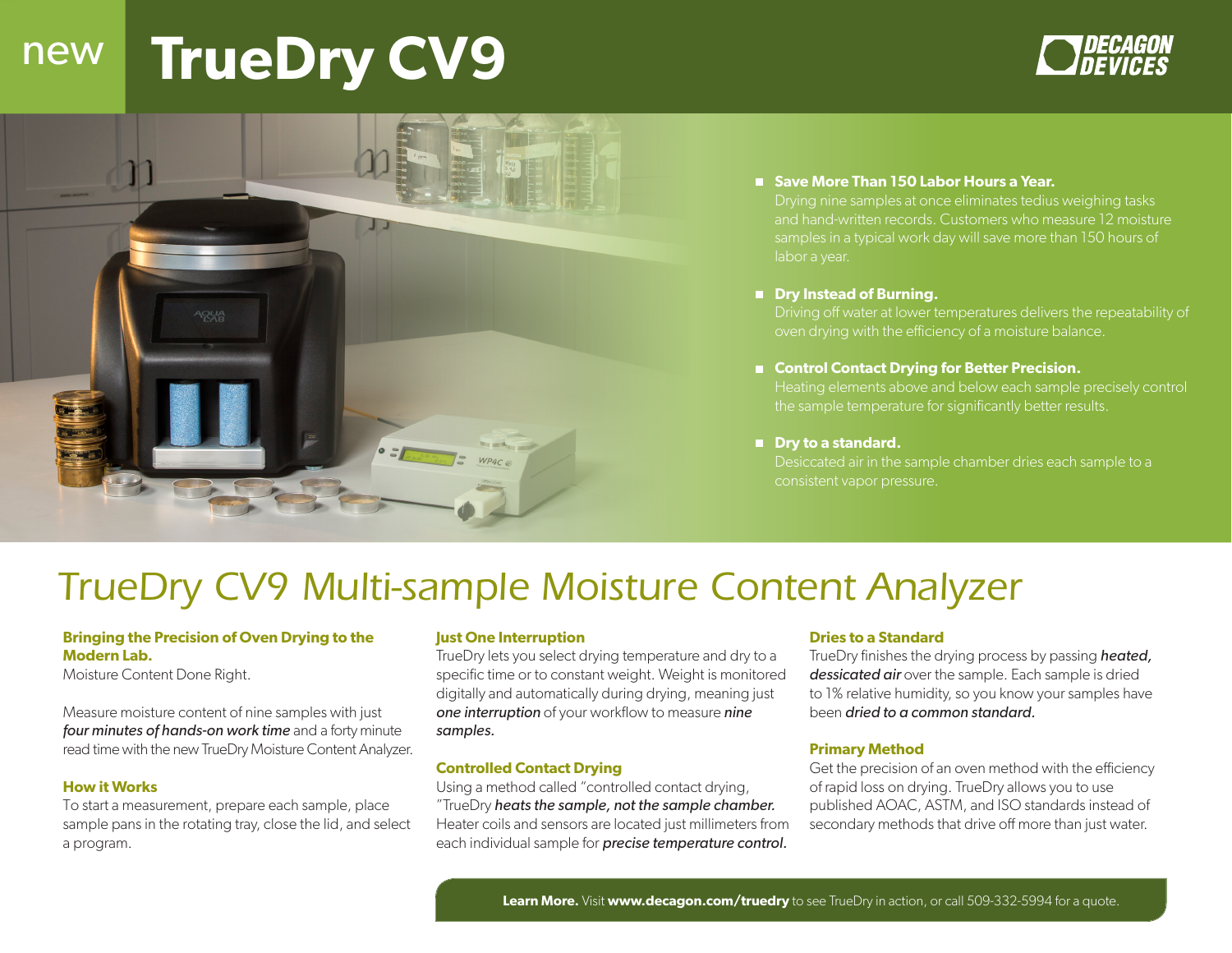## new **TrueDry CV9**





#### ■ Save More Than 150 Labor Hours a Year.

Drying nine samples at once eliminates tedius weighing tasks and hand-written records. Customers who measure 12 moisture samples in a typical work day will save more than 150 hours of labor a year.

#### ■ Dry Instead of Burning.

Driving off water at lower temperatures delivers the repeatability of oven drying with the efficiency of a moisture balance.

#### ■ Control Contact Drying for Better Precision.

Heating elements above and below each sample precisely control the sample temperature for significantly better results.

#### ■ Dry to a standard.

Desiccated air in the sample chamber dries each sample to a consistent vapor pressure.

## *TrueDry CV9 Multi-sample Moisture Content Analyzer*

#### **Bringing the Precision of Oven Drying to the Modern Lab.**

Moisture Content Done Right.

Measure moisture content of nine samples with just *four minutes of hands-on work time* and a forty minute read time with the new TrueDry Moisture Content Analyzer.

#### **How it Works**

To start a measurement, prepare each sample, place sample pans in the rotating tray, close the lid, and select a program.

#### **Just One Interruption**

TrueDry lets you select drying temperature and dry to a specific time or to constant weight. Weight is monitored digitally and automatically during drying, meaning just *one interruption* of your workflow to measure *nine samples.*

#### **Controlled Contact Drying**

Using a method called "controlled contact drying, "TrueDry *heats the sample, not the sample chamber.*  Heater coils and sensors are located just millimeters from each individual sample for *precise temperature control.*

#### **Dries to a Standard**

TrueDry finishes the drying process by passing *heated, dessicated air* over the sample. Each sample is dried to 1% relative humidity, so you know your samples have been *dried to a common standard.* 

#### **Primary Method**

Get the precision of an oven method with the efficiency of rapid loss on drying. TrueDry allows you to use published AOAC, ASTM, and ISO standards instead of secondary methods that drive off more than just water.